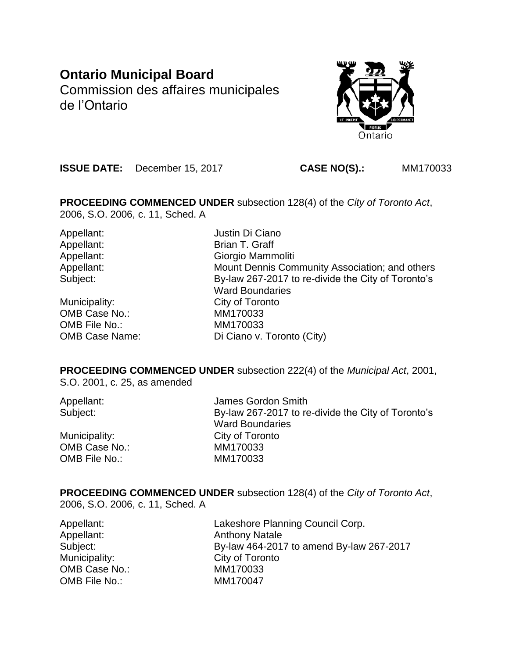# **Ontario Municipal Board** Commission des affaires municipales de l'Ontario



**ISSUE DATE:** December 15, 2017 **CASE NO(S).:** MM170033

**PROCEEDING COMMENCED UNDER** subsection 128(4) of the *City of Toronto Act*, 2006, S.O. 2006, c. 11, Sched. A

Appellant: Justin Di Ciano

Municipality: City of Toronto OMB Case No.: MM170033 OMB File No.: MM170033

Appellant: Brian T. Graff Appellant: Giorgio Mammoliti Appellant: Mount Dennis Community Association; and others Subject: By-law 267-2017 to re-divide the City of Toronto's Ward Boundaries OMB Case Name: Di Ciano v. Toronto (City)

**PROCEEDING COMMENCED UNDER** subsection 222(4) of the *Municipal Act*, 2001, S.O. 2001, c. 25, as amended

| Appellant:    | James Gordon Smith                                 |
|---------------|----------------------------------------------------|
| Subject:      | By-law 267-2017 to re-divide the City of Toronto's |
|               | <b>Ward Boundaries</b>                             |
| Municipality: | City of Toronto                                    |
| OMB Case No.: | MM170033                                           |
| OMB File No.: | MM170033                                           |

**PROCEEDING COMMENCED UNDER** subsection 128(4) of the *City of Toronto Act*, 2006, S.O. 2006, c. 11, Sched. A

Appellant: Lakeshore Planning Council Corp. Appellant: Anthony Natale Subject: By-law 464-2017 to amend By-law 267-2017 Municipality: City of Toronto OMB Case No.: MM170033 OMB File No.: MM170047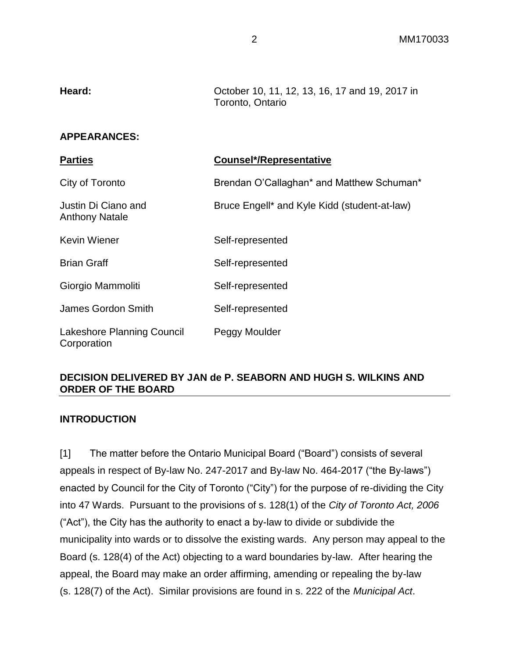| Heard:              | October 10, 11, 12, 13, 16, 17 and 19, 2017 in<br>Toronto, Ontario |
|---------------------|--------------------------------------------------------------------|
| <b>APPEARANCES:</b> |                                                                    |

**Parties Counsel\*/Representative**

| r aruvə                                      | <b>OUGHSULTING DIGGERER COMMENT</b>          |
|----------------------------------------------|----------------------------------------------|
| City of Toronto                              | Brendan O'Callaghan* and Matthew Schuman*    |
| Justin Di Ciano and<br><b>Anthony Natale</b> | Bruce Engell* and Kyle Kidd (student-at-law) |
| <b>Kevin Wiener</b>                          | Self-represented                             |
| <b>Brian Graff</b>                           | Self-represented                             |
| Giorgio Mammoliti                            | Self-represented                             |
| James Gordon Smith                           | Self-represented                             |
| Lakeshore Planning Council<br>Corporation    | Peggy Moulder                                |

# **DECISION DELIVERED BY JAN de P. SEABORN AND HUGH S. WILKINS AND ORDER OF THE BOARD**

# **INTRODUCTION**

[1] The matter before the Ontario Municipal Board ("Board") consists of several appeals in respect of By-law No. 247-2017 and By-law No. 464-2017 ("the By-laws") enacted by Council for the City of Toronto ("City") for the purpose of re-dividing the City into 47 Wards. Pursuant to the provisions of s. 128(1) of the *City of Toronto Act, 2006*  ("Act"), the City has the authority to enact a by-law to divide or subdivide the municipality into wards or to dissolve the existing wards. Any person may appeal to the Board (s. 128(4) of the Act) objecting to a ward boundaries by-law. After hearing the appeal, the Board may make an order affirming, amending or repealing the by-law (s. 128(7) of the Act). Similar provisions are found in s. 222 of the *Municipal Act*.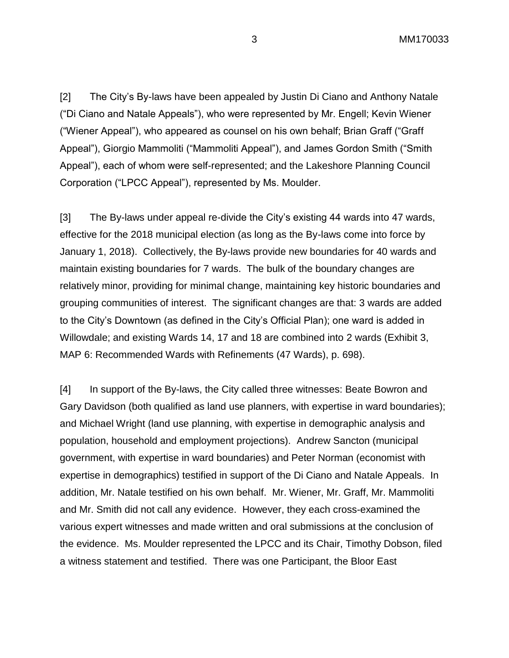[2] The City's By-laws have been appealed by Justin Di Ciano and Anthony Natale ("Di Ciano and Natale Appeals"), who were represented by Mr. Engell; Kevin Wiener ("Wiener Appeal"), who appeared as counsel on his own behalf; Brian Graff ("Graff Appeal"), Giorgio Mammoliti ("Mammoliti Appeal"), and James Gordon Smith ("Smith Appeal"), each of whom were self-represented; and the Lakeshore Planning Council Corporation ("LPCC Appeal"), represented by Ms. Moulder.

[3] The By-laws under appeal re-divide the City's existing 44 wards into 47 wards, effective for the 2018 municipal election (as long as the By-laws come into force by January 1, 2018). Collectively, the By-laws provide new boundaries for 40 wards and maintain existing boundaries for 7 wards. The bulk of the boundary changes are relatively minor, providing for minimal change, maintaining key historic boundaries and grouping communities of interest. The significant changes are that: 3 wards are added to the City's Downtown (as defined in the City's Official Plan); one ward is added in Willowdale; and existing Wards 14, 17 and 18 are combined into 2 wards (Exhibit 3, MAP 6: Recommended Wards with Refinements (47 Wards), p. 698).

[4] In support of the By-laws, the City called three witnesses: Beate Bowron and Gary Davidson (both qualified as land use planners, with expertise in ward boundaries); and Michael Wright (land use planning, with expertise in demographic analysis and population, household and employment projections). Andrew Sancton (municipal government, with expertise in ward boundaries) and Peter Norman (economist with expertise in demographics) testified in support of the Di Ciano and Natale Appeals. In addition, Mr. Natale testified on his own behalf. Mr. Wiener, Mr. Graff, Mr. Mammoliti and Mr. Smith did not call any evidence. However, they each cross-examined the various expert witnesses and made written and oral submissions at the conclusion of the evidence. Ms. Moulder represented the LPCC and its Chair, Timothy Dobson, filed a witness statement and testified. There was one Participant, the Bloor East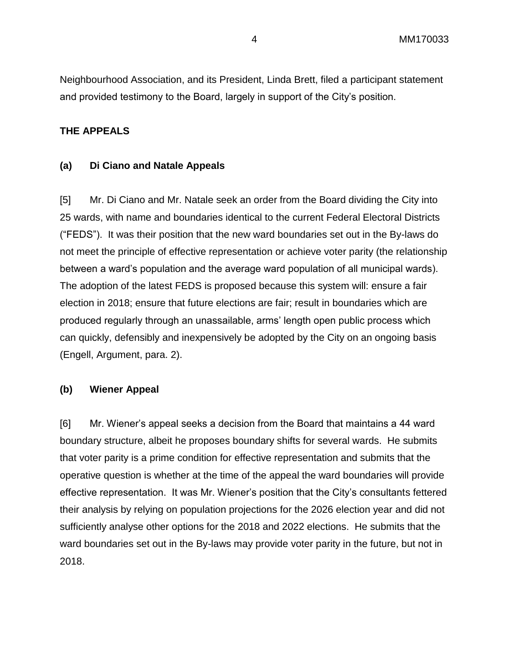Neighbourhood Association, and its President, Linda Brett, filed a participant statement and provided testimony to the Board, largely in support of the City's position.

#### **THE APPEALS**

#### **(a) Di Ciano and Natale Appeals**

[5] Mr. Di Ciano and Mr. Natale seek an order from the Board dividing the City into 25 wards, with name and boundaries identical to the current Federal Electoral Districts ("FEDS"). It was their position that the new ward boundaries set out in the By-laws do not meet the principle of effective representation or achieve voter parity (the relationship between a ward's population and the average ward population of all municipal wards). The adoption of the latest FEDS is proposed because this system will: ensure a fair election in 2018; ensure that future elections are fair; result in boundaries which are produced regularly through an unassailable, arms' length open public process which can quickly, defensibly and inexpensively be adopted by the City on an ongoing basis (Engell, Argument, para. 2).

#### **(b) Wiener Appeal**

[6] Mr. Wiener's appeal seeks a decision from the Board that maintains a 44 ward boundary structure, albeit he proposes boundary shifts for several wards. He submits that voter parity is a prime condition for effective representation and submits that the operative question is whether at the time of the appeal the ward boundaries will provide effective representation. It was Mr. Wiener's position that the City's consultants fettered their analysis by relying on population projections for the 2026 election year and did not sufficiently analyse other options for the 2018 and 2022 elections. He submits that the ward boundaries set out in the By-laws may provide voter parity in the future, but not in 2018.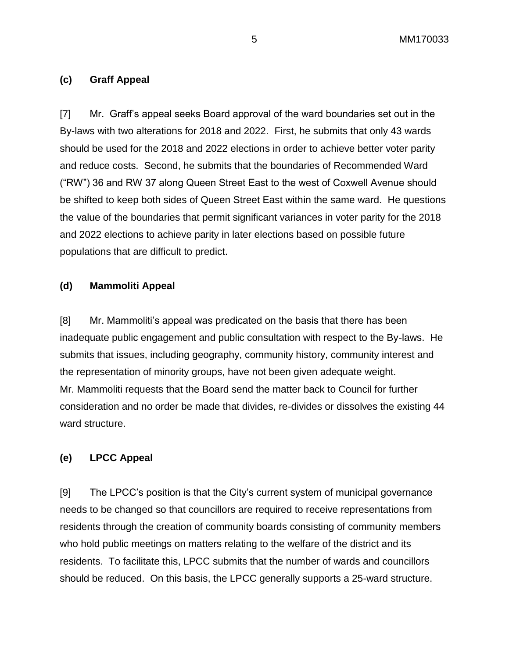### **(c) Graff Appeal**

[7] Mr. Graff's appeal seeks Board approval of the ward boundaries set out in the By-laws with two alterations for 2018 and 2022. First, he submits that only 43 wards should be used for the 2018 and 2022 elections in order to achieve better voter parity and reduce costs. Second, he submits that the boundaries of Recommended Ward ("RW") 36 and RW 37 along Queen Street East to the west of Coxwell Avenue should be shifted to keep both sides of Queen Street East within the same ward. He questions the value of the boundaries that permit significant variances in voter parity for the 2018 and 2022 elections to achieve parity in later elections based on possible future populations that are difficult to predict.

#### **(d) Mammoliti Appeal**

[8] Mr. Mammoliti's appeal was predicated on the basis that there has been inadequate public engagement and public consultation with respect to the By-laws. He submits that issues, including geography, community history, community interest and the representation of minority groups, have not been given adequate weight. Mr. Mammoliti requests that the Board send the matter back to Council for further consideration and no order be made that divides, re-divides or dissolves the existing 44 ward structure.

#### **(e) LPCC Appeal**

[9] The LPCC's position is that the City's current system of municipal governance needs to be changed so that councillors are required to receive representations from residents through the creation of community boards consisting of community members who hold public meetings on matters relating to the welfare of the district and its residents. To facilitate this, LPCC submits that the number of wards and councillors should be reduced. On this basis, the LPCC generally supports a 25-ward structure.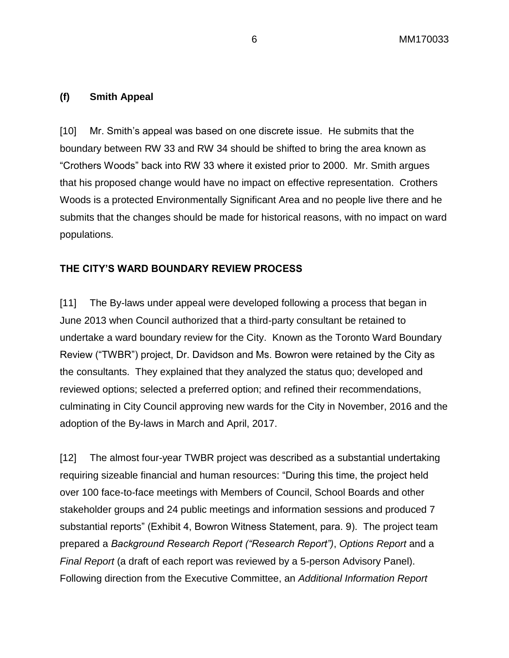### **(f) Smith Appeal**

[10] Mr. Smith's appeal was based on one discrete issue. He submits that the boundary between RW 33 and RW 34 should be shifted to bring the area known as "Crothers Woods" back into RW 33 where it existed prior to 2000. Mr. Smith argues that his proposed change would have no impact on effective representation. Crothers Woods is a protected Environmentally Significant Area and no people live there and he submits that the changes should be made for historical reasons, with no impact on ward populations.

# **THE CITY'S WARD BOUNDARY REVIEW PROCESS**

[11] The By-laws under appeal were developed following a process that began in June 2013 when Council authorized that a third-party consultant be retained to undertake a ward boundary review for the City. Known as the Toronto Ward Boundary Review ("TWBR") project, Dr. Davidson and Ms. Bowron were retained by the City as the consultants. They explained that they analyzed the status quo; developed and reviewed options; selected a preferred option; and refined their recommendations, culminating in City Council approving new wards for the City in November, 2016 and the adoption of the By-laws in March and April, 2017.

[12] The almost four-year TWBR project was described as a substantial undertaking requiring sizeable financial and human resources: "During this time, the project held over 100 face-to-face meetings with Members of Council, School Boards and other stakeholder groups and 24 public meetings and information sessions and produced 7 substantial reports" (Exhibit 4, Bowron Witness Statement, para. 9). The project team prepared a *Background Research Report ("Research Report")*, *Options Report* and a *Final Report* (a draft of each report was reviewed by a 5-person Advisory Panel). Following direction from the Executive Committee, an *Additional Information Report*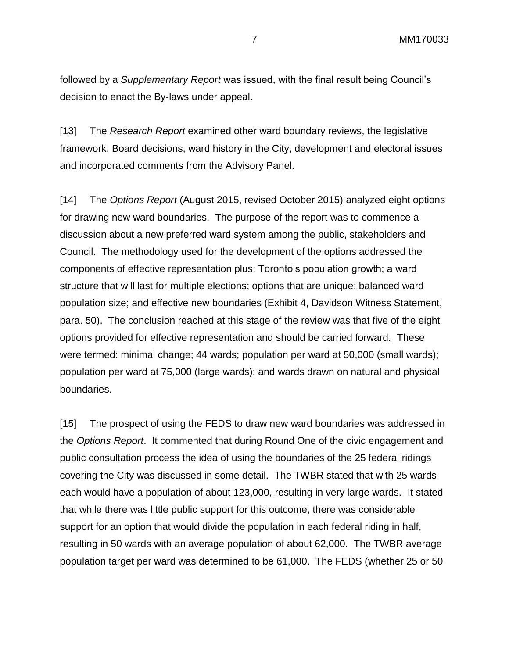followed by a *Supplementary Report* was issued, with the final result being Council's decision to enact the By-laws under appeal.

[13] The *Research Report* examined other ward boundary reviews, the legislative framework, Board decisions, ward history in the City, development and electoral issues and incorporated comments from the Advisory Panel.

[14] The *Options Report* (August 2015, revised October 2015) analyzed eight options for drawing new ward boundaries. The purpose of the report was to commence a discussion about a new preferred ward system among the public, stakeholders and Council. The methodology used for the development of the options addressed the components of effective representation plus: Toronto's population growth; a ward structure that will last for multiple elections; options that are unique; balanced ward population size; and effective new boundaries (Exhibit 4, Davidson Witness Statement, para. 50). The conclusion reached at this stage of the review was that five of the eight options provided for effective representation and should be carried forward. These were termed: minimal change; 44 wards; population per ward at 50,000 (small wards); population per ward at 75,000 (large wards); and wards drawn on natural and physical boundaries.

[15] The prospect of using the FEDS to draw new ward boundaries was addressed in the *Options Report*. It commented that during Round One of the civic engagement and public consultation process the idea of using the boundaries of the 25 federal ridings covering the City was discussed in some detail. The TWBR stated that with 25 wards each would have a population of about 123,000, resulting in very large wards. It stated that while there was little public support for this outcome, there was considerable support for an option that would divide the population in each federal riding in half, resulting in 50 wards with an average population of about 62,000. The TWBR average population target per ward was determined to be 61,000. The FEDS (whether 25 or 50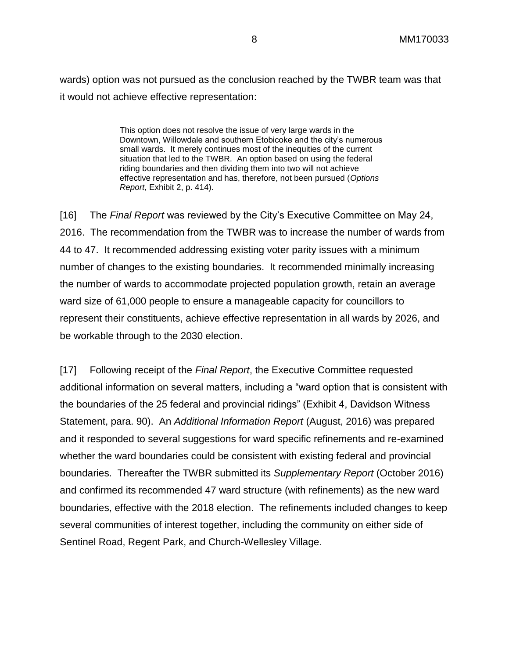wards) option was not pursued as the conclusion reached by the TWBR team was that it would not achieve effective representation:

> This option does not resolve the issue of very large wards in the Downtown, Willowdale and southern Etobicoke and the city's numerous small wards. It merely continues most of the inequities of the current situation that led to the TWBR. An option based on using the federal riding boundaries and then dividing them into two will not achieve effective representation and has, therefore, not been pursued (*Options Report*, Exhibit 2, p. 414).

[16] The *Final Report* was reviewed by the City's Executive Committee on May 24, 2016. The recommendation from the TWBR was to increase the number of wards from 44 to 47. It recommended addressing existing voter parity issues with a minimum number of changes to the existing boundaries. It recommended minimally increasing the number of wards to accommodate projected population growth, retain an average ward size of 61,000 people to ensure a manageable capacity for councillors to represent their constituents, achieve effective representation in all wards by 2026, and be workable through to the 2030 election.

[17] Following receipt of the *Final Report*, the Executive Committee requested additional information on several matters, including a "ward option that is consistent with the boundaries of the 25 federal and provincial ridings" (Exhibit 4, Davidson Witness Statement, para. 90). An *Additional Information Report* (August, 2016) was prepared and it responded to several suggestions for ward specific refinements and re-examined whether the ward boundaries could be consistent with existing federal and provincial boundaries. Thereafter the TWBR submitted its *Supplementary Report* (October 2016) and confirmed its recommended 47 ward structure (with refinements) as the new ward boundaries, effective with the 2018 election. The refinements included changes to keep several communities of interest together, including the community on either side of Sentinel Road, Regent Park, and Church-Wellesley Village.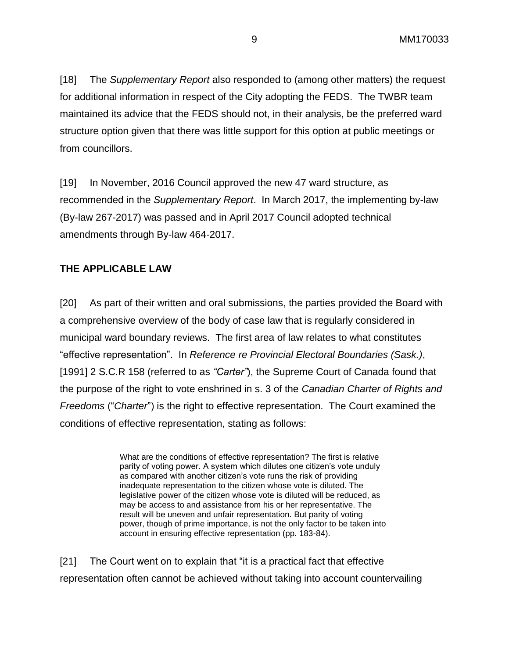[18] The *Supplementary Report* also responded to (among other matters) the request for additional information in respect of the City adopting the FEDS. The TWBR team maintained its advice that the FEDS should not, in their analysis, be the preferred ward structure option given that there was little support for this option at public meetings or from councillors.

[19] In November, 2016 Council approved the new 47 ward structure, as recommended in the *Supplementary Report*. In March 2017, the implementing by-law (By-law 267-2017) was passed and in April 2017 Council adopted technical amendments through By-law 464-2017.

# **THE APPLICABLE LAW**

[20] As part of their written and oral submissions, the parties provided the Board with a comprehensive overview of the body of case law that is regularly considered in municipal ward boundary reviews. The first area of law relates to what constitutes "effective representation". In *Reference re Provincial Electoral Boundaries (Sask.)*, [1991] 2 S.C.R 158 (referred to as *"Carter"*), the Supreme Court of Canada found that the purpose of the right to vote enshrined in s. 3 of the *Canadian Charter of Rights and Freedoms* ("*Charter*") is the right to effective representation. The Court examined the conditions of effective representation, stating as follows:

> What are the conditions of effective representation? The first is relative parity of voting power. A system which dilutes one citizen's vote unduly as compared with another citizen's vote runs the risk of providing inadequate representation to the citizen whose vote is diluted. The legislative power of the citizen whose vote is diluted will be reduced, as may be access to and assistance from his or her representative. The result will be uneven and unfair representation. But parity of voting power, though of prime importance, is not the only factor to be taken into account in ensuring effective representation (pp. 183-84).

[21] The Court went on to explain that "it is a practical fact that effective representation often cannot be achieved without taking into account countervailing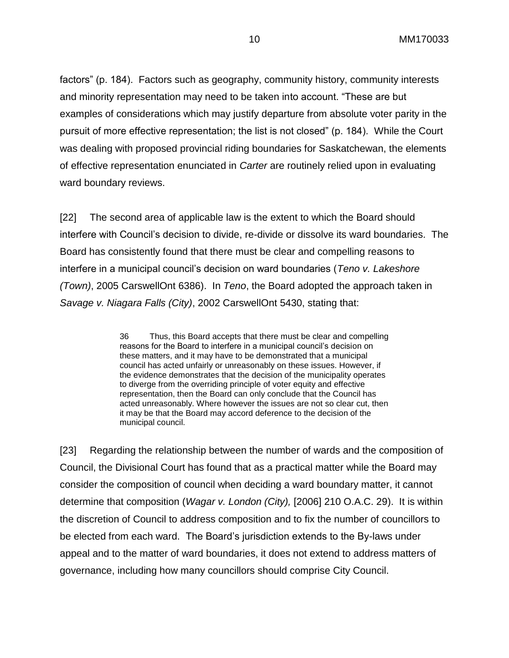factors" (p. 184). Factors such as geography, community history, community interests and minority representation may need to be taken into account. "These are but examples of considerations which may justify departure from absolute voter parity in the pursuit of more effective representation; the list is not closed" (p. 184). While the Court was dealing with proposed provincial riding boundaries for Saskatchewan, the elements of effective representation enunciated in *Carter* are routinely relied upon in evaluating ward boundary reviews.

[22] The second area of applicable law is the extent to which the Board should interfere with Council's decision to divide, re-divide or dissolve its ward boundaries. The Board has consistently found that there must be clear and compelling reasons to interfere in a municipal council's decision on ward boundaries (*Teno v. Lakeshore (Town)*, 2005 CarswellOnt 6386). In *Teno*, the Board adopted the approach taken in *Savage v. Niagara Falls (City)*, 2002 CarswellOnt 5430, stating that:

> 36 Thus, this Board accepts that there must be clear and compelling reasons for the Board to interfere in a municipal council's decision on these matters, and it may have to be demonstrated that a municipal council has acted unfairly or unreasonably on these issues. However, if the evidence demonstrates that the decision of the municipality operates to diverge from the overriding principle of voter equity and effective representation, then the Board can only conclude that the Council has acted unreasonably. Where however the issues are not so clear cut, then it may be that the Board may accord deference to the decision of the municipal council.

[23] Regarding the relationship between the number of wards and the composition of Council, the Divisional Court has found that as a practical matter while the Board may consider the composition of council when deciding a ward boundary matter, it cannot determine that composition (*Wagar v. London (City),* [2006] 210 O.A.C. 29). It is within the discretion of Council to address composition and to fix the number of councillors to be elected from each ward. The Board's jurisdiction extends to the By-laws under appeal and to the matter of ward boundaries, it does not extend to address matters of governance, including how many councillors should comprise City Council.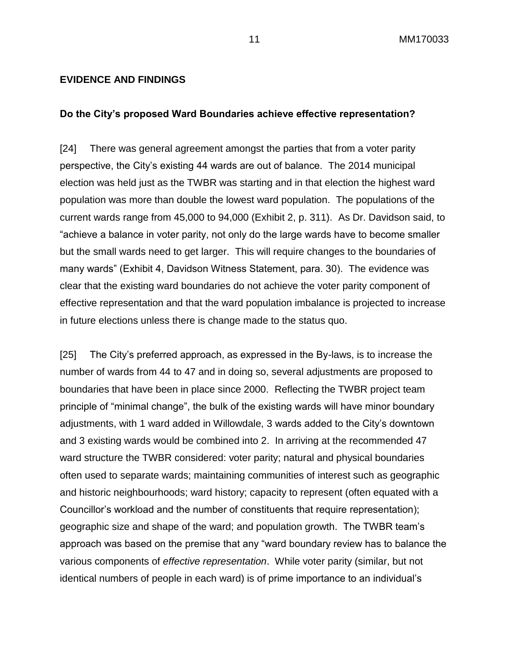#### **EVIDENCE AND FINDINGS**

#### **Do the City's proposed Ward Boundaries achieve effective representation?**

[24] There was general agreement amongst the parties that from a voter parity perspective, the City's existing 44 wards are out of balance. The 2014 municipal election was held just as the TWBR was starting and in that election the highest ward population was more than double the lowest ward population. The populations of the current wards range from 45,000 to 94,000 (Exhibit 2, p. 311). As Dr. Davidson said, to "achieve a balance in voter parity, not only do the large wards have to become smaller but the small wards need to get larger. This will require changes to the boundaries of many wards" (Exhibit 4, Davidson Witness Statement, para. 30). The evidence was clear that the existing ward boundaries do not achieve the voter parity component of effective representation and that the ward population imbalance is projected to increase in future elections unless there is change made to the status quo.

[25] The City's preferred approach, as expressed in the By-laws, is to increase the number of wards from 44 to 47 and in doing so, several adjustments are proposed to boundaries that have been in place since 2000. Reflecting the TWBR project team principle of "minimal change", the bulk of the existing wards will have minor boundary adjustments, with 1 ward added in Willowdale, 3 wards added to the City's downtown and 3 existing wards would be combined into 2. In arriving at the recommended 47 ward structure the TWBR considered: voter parity; natural and physical boundaries often used to separate wards; maintaining communities of interest such as geographic and historic neighbourhoods; ward history; capacity to represent (often equated with a Councillor's workload and the number of constituents that require representation); geographic size and shape of the ward; and population growth. The TWBR team's approach was based on the premise that any "ward boundary review has to balance the various components of *effective representation*. While voter parity (similar, but not identical numbers of people in each ward) is of prime importance to an individual's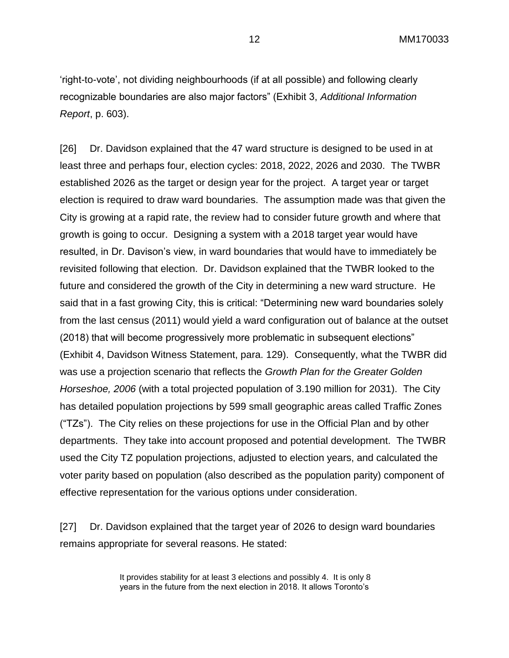'right-to-vote', not dividing neighbourhoods (if at all possible) and following clearly recognizable boundaries are also major factors" (Exhibit 3, *Additional Information Report*, p. 603).

[26] Dr. Davidson explained that the 47 ward structure is designed to be used in at least three and perhaps four, election cycles: 2018, 2022, 2026 and 2030. The TWBR established 2026 as the target or design year for the project. A target year or target election is required to draw ward boundaries. The assumption made was that given the City is growing at a rapid rate, the review had to consider future growth and where that growth is going to occur. Designing a system with a 2018 target year would have resulted, in Dr. Davison's view, in ward boundaries that would have to immediately be revisited following that election. Dr. Davidson explained that the TWBR looked to the future and considered the growth of the City in determining a new ward structure. He said that in a fast growing City, this is critical: "Determining new ward boundaries solely from the last census (2011) would yield a ward configuration out of balance at the outset (2018) that will become progressively more problematic in subsequent elections" (Exhibit 4, Davidson Witness Statement, para. 129). Consequently, what the TWBR did was use a projection scenario that reflects the *Growth Plan for the Greater Golden Horseshoe, 2006* (with a total projected population of 3.190 million for 2031). The City has detailed population projections by 599 small geographic areas called Traffic Zones ("TZs"). The City relies on these projections for use in the Official Plan and by other departments. They take into account proposed and potential development. The TWBR used the City TZ population projections, adjusted to election years, and calculated the voter parity based on population (also described as the population parity) component of effective representation for the various options under consideration.

[27] Dr. Davidson explained that the target year of 2026 to design ward boundaries remains appropriate for several reasons. He stated:

> It provides stability for at least 3 elections and possibly 4. It is only 8 years in the future from the next election in 2018. It allows Toronto's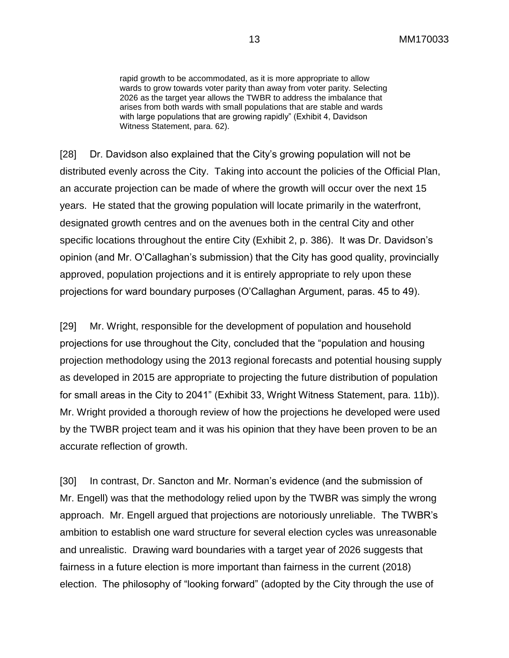rapid growth to be accommodated, as it is more appropriate to allow wards to grow towards voter parity than away from voter parity. Selecting 2026 as the target year allows the TWBR to address the imbalance that arises from both wards with small populations that are stable and wards with large populations that are growing rapidly" (Exhibit 4, Davidson Witness Statement, para. 62).

[28] Dr. Davidson also explained that the City's growing population will not be distributed evenly across the City. Taking into account the policies of the Official Plan, an accurate projection can be made of where the growth will occur over the next 15 years. He stated that the growing population will locate primarily in the waterfront, designated growth centres and on the avenues both in the central City and other specific locations throughout the entire City (Exhibit 2, p. 386). It was Dr. Davidson's opinion (and Mr. O'Callaghan's submission) that the City has good quality, provincially approved, population projections and it is entirely appropriate to rely upon these projections for ward boundary purposes (O'Callaghan Argument, paras. 45 to 49).

[29] Mr. Wright, responsible for the development of population and household projections for use throughout the City, concluded that the "population and housing projection methodology using the 2013 regional forecasts and potential housing supply as developed in 2015 are appropriate to projecting the future distribution of population for small areas in the City to 2041" (Exhibit 33, Wright Witness Statement, para. 11b)). Mr. Wright provided a thorough review of how the projections he developed were used by the TWBR project team and it was his opinion that they have been proven to be an accurate reflection of growth.

[30] In contrast, Dr. Sancton and Mr. Norman's evidence (and the submission of Mr. Engell) was that the methodology relied upon by the TWBR was simply the wrong approach. Mr. Engell argued that projections are notoriously unreliable. The TWBR's ambition to establish one ward structure for several election cycles was unreasonable and unrealistic. Drawing ward boundaries with a target year of 2026 suggests that fairness in a future election is more important than fairness in the current (2018) election. The philosophy of "looking forward" (adopted by the City through the use of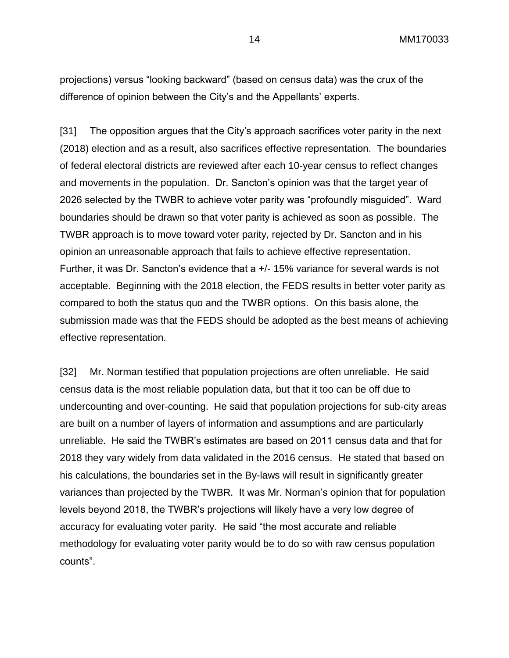projections) versus "looking backward" (based on census data) was the crux of the difference of opinion between the City's and the Appellants' experts.

[31] The opposition argues that the City's approach sacrifices voter parity in the next (2018) election and as a result, also sacrifices effective representation. The boundaries of federal electoral districts are reviewed after each 10-year census to reflect changes and movements in the population. Dr. Sancton's opinion was that the target year of 2026 selected by the TWBR to achieve voter parity was "profoundly misguided". Ward boundaries should be drawn so that voter parity is achieved as soon as possible. The TWBR approach is to move toward voter parity, rejected by Dr. Sancton and in his opinion an unreasonable approach that fails to achieve effective representation. Further, it was Dr. Sancton's evidence that a +/- 15% variance for several wards is not acceptable. Beginning with the 2018 election, the FEDS results in better voter parity as compared to both the status quo and the TWBR options. On this basis alone, the submission made was that the FEDS should be adopted as the best means of achieving effective representation.

[32] Mr. Norman testified that population projections are often unreliable. He said census data is the most reliable population data, but that it too can be off due to undercounting and over-counting. He said that population projections for sub-city areas are built on a number of layers of information and assumptions and are particularly unreliable. He said the TWBR's estimates are based on 2011 census data and that for 2018 they vary widely from data validated in the 2016 census. He stated that based on his calculations, the boundaries set in the By-laws will result in significantly greater variances than projected by the TWBR. It was Mr. Norman's opinion that for population levels beyond 2018, the TWBR's projections will likely have a very low degree of accuracy for evaluating voter parity. He said "the most accurate and reliable methodology for evaluating voter parity would be to do so with raw census population counts".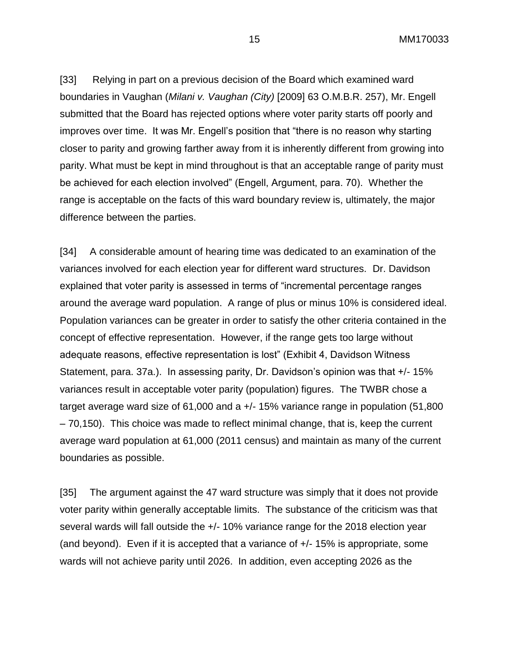[33] Relying in part on a previous decision of the Board which examined ward boundaries in Vaughan (*Milani v. Vaughan (City)* [2009] 63 O.M.B.R. 257), Mr. Engell submitted that the Board has rejected options where voter parity starts off poorly and improves over time. It was Mr. Engell's position that "there is no reason why starting closer to parity and growing farther away from it is inherently different from growing into parity. What must be kept in mind throughout is that an acceptable range of parity must be achieved for each election involved" (Engell, Argument, para. 70). Whether the range is acceptable on the facts of this ward boundary review is, ultimately, the major difference between the parties.

[34] A considerable amount of hearing time was dedicated to an examination of the variances involved for each election year for different ward structures. Dr. Davidson explained that voter parity is assessed in terms of "incremental percentage ranges around the average ward population. A range of plus or minus 10% is considered ideal. Population variances can be greater in order to satisfy the other criteria contained in the concept of effective representation. However, if the range gets too large without adequate reasons, effective representation is lost" (Exhibit 4, Davidson Witness Statement, para. 37a.). In assessing parity, Dr. Davidson's opinion was that +/- 15% variances result in acceptable voter parity (population) figures. The TWBR chose a target average ward size of 61,000 and a +/- 15% variance range in population (51,800 – 70,150). This choice was made to reflect minimal change, that is, keep the current average ward population at 61,000 (2011 census) and maintain as many of the current boundaries as possible.

[35] The argument against the 47 ward structure was simply that it does not provide voter parity within generally acceptable limits. The substance of the criticism was that several wards will fall outside the +/- 10% variance range for the 2018 election year (and beyond). Even if it is accepted that a variance of +/- 15% is appropriate, some wards will not achieve parity until 2026. In addition, even accepting 2026 as the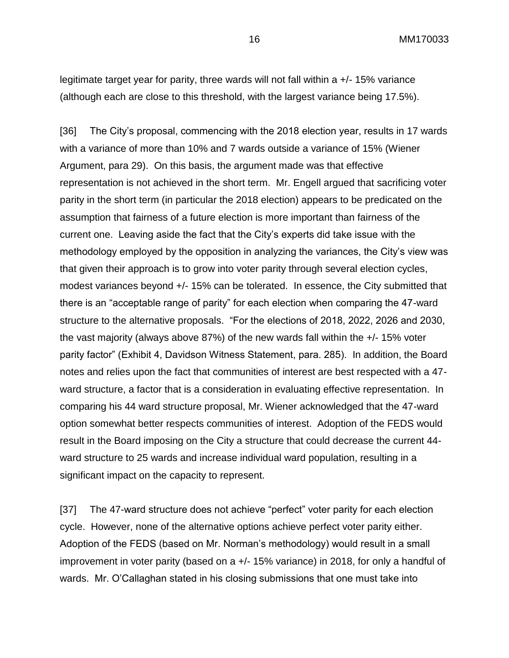legitimate target year for parity, three wards will not fall within a +/- 15% variance (although each are close to this threshold, with the largest variance being 17.5%).

[36] The City's proposal, commencing with the 2018 election year, results in 17 wards with a variance of more than 10% and 7 wards outside a variance of 15% (Wiener Argument, para 29). On this basis, the argument made was that effective representation is not achieved in the short term. Mr. Engell argued that sacrificing voter parity in the short term (in particular the 2018 election) appears to be predicated on the assumption that fairness of a future election is more important than fairness of the current one. Leaving aside the fact that the City's experts did take issue with the methodology employed by the opposition in analyzing the variances, the City's view was that given their approach is to grow into voter parity through several election cycles, modest variances beyond +/- 15% can be tolerated. In essence, the City submitted that there is an "acceptable range of parity" for each election when comparing the 47-ward structure to the alternative proposals. "For the elections of 2018, 2022, 2026 and 2030, the vast majority (always above 87%) of the new wards fall within the +/- 15% voter parity factor" (Exhibit 4, Davidson Witness Statement, para. 285). In addition, the Board notes and relies upon the fact that communities of interest are best respected with a 47 ward structure, a factor that is a consideration in evaluating effective representation. In comparing his 44 ward structure proposal, Mr. Wiener acknowledged that the 47-ward option somewhat better respects communities of interest. Adoption of the FEDS would result in the Board imposing on the City a structure that could decrease the current 44 ward structure to 25 wards and increase individual ward population, resulting in a significant impact on the capacity to represent.

[37] The 47-ward structure does not achieve "perfect" voter parity for each election cycle. However, none of the alternative options achieve perfect voter parity either. Adoption of the FEDS (based on Mr. Norman's methodology) would result in a small improvement in voter parity (based on a +/- 15% variance) in 2018, for only a handful of wards. Mr. O'Callaghan stated in his closing submissions that one must take into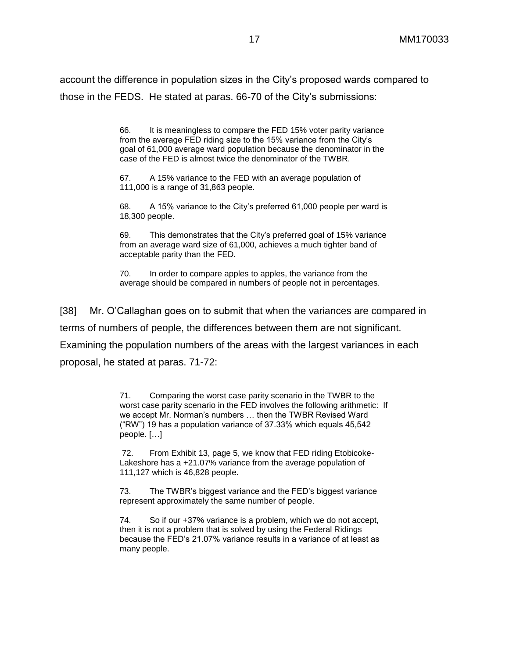account the difference in population sizes in the City's proposed wards compared to those in the FEDS. He stated at paras. 66-70 of the City's submissions:

> 66. It is meaningless to compare the FED 15% voter parity variance from the average FED riding size to the 15% variance from the City's goal of 61,000 average ward population because the denominator in the case of the FED is almost twice the denominator of the TWBR.

67. A 15% variance to the FED with an average population of 111,000 is a range of 31,863 people.

68. A 15% variance to the City's preferred 61,000 people per ward is 18,300 people.

69. This demonstrates that the City's preferred goal of 15% variance from an average ward size of 61,000, achieves a much tighter band of acceptable parity than the FED.

70. In order to compare apples to apples, the variance from the average should be compared in numbers of people not in percentages.

[38] Mr. O'Callaghan goes on to submit that when the variances are compared in terms of numbers of people, the differences between them are not significant. Examining the population numbers of the areas with the largest variances in each proposal, he stated at paras. 71-72:

> 71. Comparing the worst case parity scenario in the TWBR to the worst case parity scenario in the FED involves the following arithmetic: If we accept Mr. Norman's numbers … then the TWBR Revised Ward ("RW") 19 has a population variance of 37.33% which equals 45,542 people. […]

72. From Exhibit 13, page 5, we know that FED riding Etobicoke-Lakeshore has a +21.07% variance from the average population of 111,127 which is 46,828 people.

73. The TWBR's biggest variance and the FED's biggest variance represent approximately the same number of people.

74. So if our +37% variance is a problem, which we do not accept, then it is not a problem that is solved by using the Federal Ridings because the FED's 21.07% variance results in a variance of at least as many people.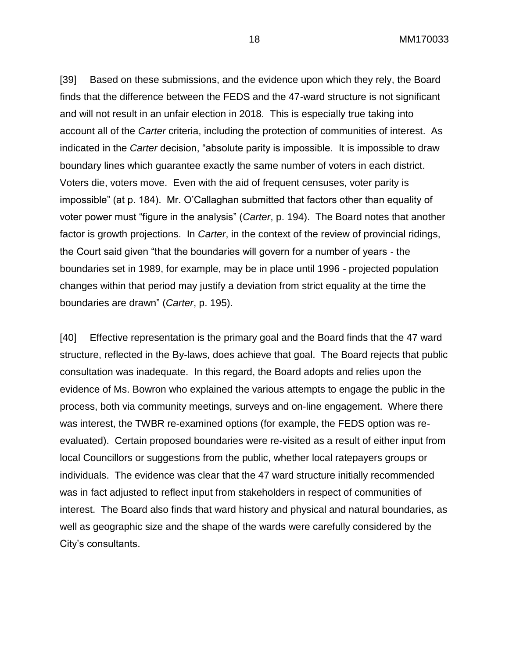[39] Based on these submissions, and the evidence upon which they rely, the Board finds that the difference between the FEDS and the 47-ward structure is not significant and will not result in an unfair election in 2018. This is especially true taking into account all of the *Carter* criteria, including the protection of communities of interest. As indicated in the *Carter* decision, "absolute parity is impossible. It is impossible to draw boundary lines which guarantee exactly the same number of voters in each district. Voters die, voters move. Even with the aid of frequent censuses, voter parity is impossible" (at p. 184). Mr. O'Callaghan submitted that factors other than equality of voter power must "figure in the analysis" (*Carter*, p. 194). The Board notes that another factor is growth projections. In *Carter*, in the context of the review of provincial ridings, the Court said given "that the boundaries will govern for a number of years - the boundaries set in 1989, for example, may be in place until 1996 - projected population changes within that period may justify a deviation from strict equality at the time the boundaries are drawn" (*Carter*, p. 195).

[40] Effective representation is the primary goal and the Board finds that the 47 ward structure, reflected in the By-laws, does achieve that goal. The Board rejects that public consultation was inadequate. In this regard, the Board adopts and relies upon the evidence of Ms. Bowron who explained the various attempts to engage the public in the process, both via community meetings, surveys and on-line engagement. Where there was interest, the TWBR re-examined options (for example, the FEDS option was reevaluated). Certain proposed boundaries were re-visited as a result of either input from local Councillors or suggestions from the public, whether local ratepayers groups or individuals. The evidence was clear that the 47 ward structure initially recommended was in fact adjusted to reflect input from stakeholders in respect of communities of interest. The Board also finds that ward history and physical and natural boundaries, as well as geographic size and the shape of the wards were carefully considered by the City's consultants.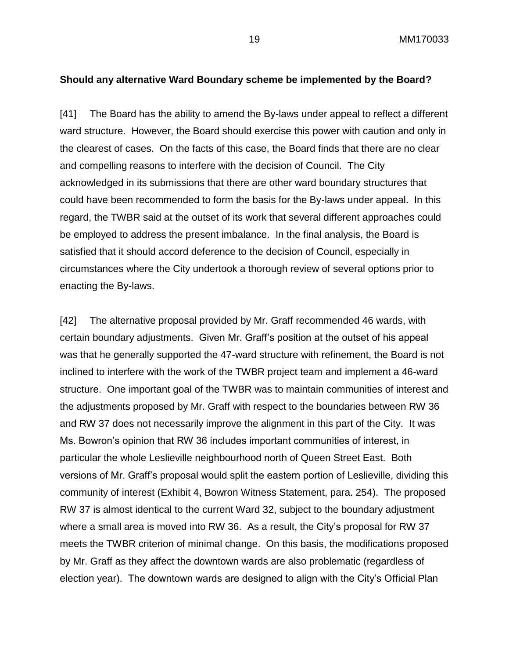### **Should any alternative Ward Boundary scheme be implemented by the Board?**

[41] The Board has the ability to amend the By-laws under appeal to reflect a different ward structure. However, the Board should exercise this power with caution and only in the clearest of cases. On the facts of this case, the Board finds that there are no clear and compelling reasons to interfere with the decision of Council. The City acknowledged in its submissions that there are other ward boundary structures that could have been recommended to form the basis for the By-laws under appeal. In this regard, the TWBR said at the outset of its work that several different approaches could be employed to address the present imbalance. In the final analysis, the Board is satisfied that it should accord deference to the decision of Council, especially in circumstances where the City undertook a thorough review of several options prior to enacting the By-laws.

[42] The alternative proposal provided by Mr. Graff recommended 46 wards, with certain boundary adjustments. Given Mr. Graff's position at the outset of his appeal was that he generally supported the 47-ward structure with refinement, the Board is not inclined to interfere with the work of the TWBR project team and implement a 46-ward structure. One important goal of the TWBR was to maintain communities of interest and the adjustments proposed by Mr. Graff with respect to the boundaries between RW 36 and RW 37 does not necessarily improve the alignment in this part of the City. It was Ms. Bowron's opinion that RW 36 includes important communities of interest, in particular the whole Leslieville neighbourhood north of Queen Street East. Both versions of Mr. Graff's proposal would split the eastern portion of Leslieville, dividing this community of interest (Exhibit 4, Bowron Witness Statement, para. 254). The proposed RW 37 is almost identical to the current Ward 32, subject to the boundary adjustment where a small area is moved into RW 36. As a result, the City's proposal for RW 37 meets the TWBR criterion of minimal change. On this basis, the modifications proposed by Mr. Graff as they affect the downtown wards are also problematic (regardless of election year). The downtown wards are designed to align with the City's Official Plan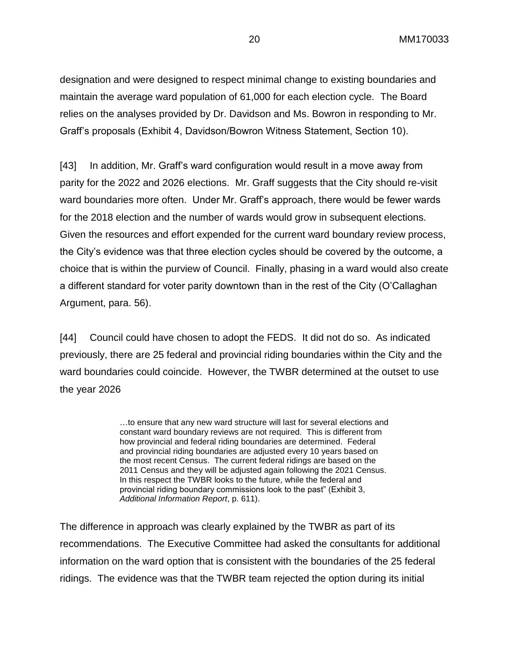designation and were designed to respect minimal change to existing boundaries and maintain the average ward population of 61,000 for each election cycle. The Board relies on the analyses provided by Dr. Davidson and Ms. Bowron in responding to Mr. Graff's proposals (Exhibit 4, Davidson/Bowron Witness Statement, Section 10).

[43] In addition, Mr. Graff's ward configuration would result in a move away from parity for the 2022 and 2026 elections. Mr. Graff suggests that the City should re-visit ward boundaries more often. Under Mr. Graff's approach, there would be fewer wards for the 2018 election and the number of wards would grow in subsequent elections. Given the resources and effort expended for the current ward boundary review process, the City's evidence was that three election cycles should be covered by the outcome, a choice that is within the purview of Council. Finally, phasing in a ward would also create a different standard for voter parity downtown than in the rest of the City (O'Callaghan Argument, para. 56).

[44] Council could have chosen to adopt the FEDS. It did not do so. As indicated previously, there are 25 federal and provincial riding boundaries within the City and the ward boundaries could coincide. However, the TWBR determined at the outset to use the year 2026

> …to ensure that any new ward structure will last for several elections and constant ward boundary reviews are not required. This is different from how provincial and federal riding boundaries are determined. Federal and provincial riding boundaries are adjusted every 10 years based on the most recent Census. The current federal ridings are based on the 2011 Census and they will be adjusted again following the 2021 Census. In this respect the TWBR looks to the future, while the federal and provincial riding boundary commissions look to the past" (Exhibit 3, *Additional Information Report*, p. 611).

The difference in approach was clearly explained by the TWBR as part of its recommendations. The Executive Committee had asked the consultants for additional information on the ward option that is consistent with the boundaries of the 25 federal ridings. The evidence was that the TWBR team rejected the option during its initial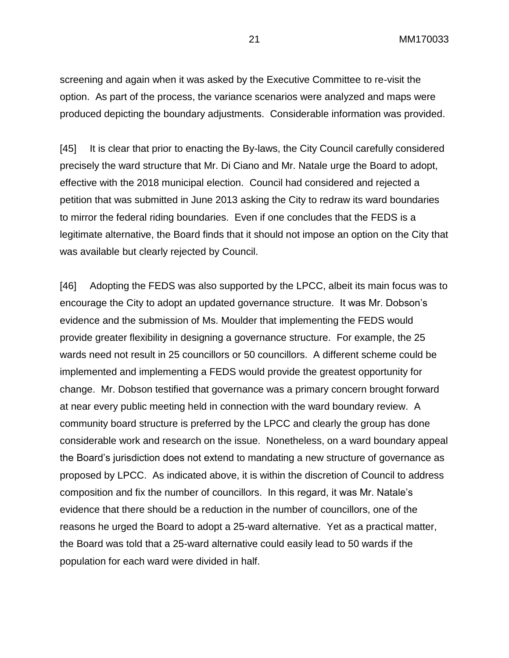screening and again when it was asked by the Executive Committee to re-visit the option. As part of the process, the variance scenarios were analyzed and maps were produced depicting the boundary adjustments. Considerable information was provided.

[45] It is clear that prior to enacting the By-laws, the City Council carefully considered precisely the ward structure that Mr. Di Ciano and Mr. Natale urge the Board to adopt, effective with the 2018 municipal election. Council had considered and rejected a petition that was submitted in June 2013 asking the City to redraw its ward boundaries to mirror the federal riding boundaries. Even if one concludes that the FEDS is a legitimate alternative, the Board finds that it should not impose an option on the City that was available but clearly rejected by Council.

[46] Adopting the FEDS was also supported by the LPCC, albeit its main focus was to encourage the City to adopt an updated governance structure. It was Mr. Dobson's evidence and the submission of Ms. Moulder that implementing the FEDS would provide greater flexibility in designing a governance structure. For example, the 25 wards need not result in 25 councillors or 50 councillors. A different scheme could be implemented and implementing a FEDS would provide the greatest opportunity for change. Mr. Dobson testified that governance was a primary concern brought forward at near every public meeting held in connection with the ward boundary review. A community board structure is preferred by the LPCC and clearly the group has done considerable work and research on the issue. Nonetheless, on a ward boundary appeal the Board's jurisdiction does not extend to mandating a new structure of governance as proposed by LPCC. As indicated above, it is within the discretion of Council to address composition and fix the number of councillors. In this regard, it was Mr. Natale's evidence that there should be a reduction in the number of councillors, one of the reasons he urged the Board to adopt a 25-ward alternative. Yet as a practical matter, the Board was told that a 25-ward alternative could easily lead to 50 wards if the population for each ward were divided in half.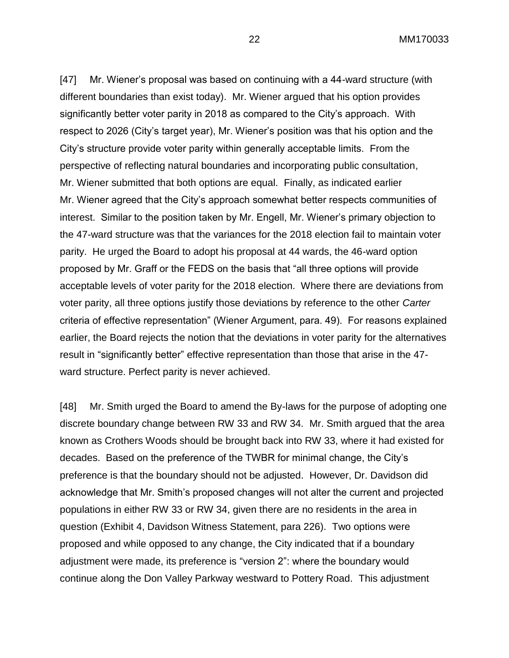[47] Mr. Wiener's proposal was based on continuing with a 44-ward structure (with different boundaries than exist today). Mr. Wiener argued that his option provides significantly better voter parity in 2018 as compared to the City's approach. With respect to 2026 (City's target year), Mr. Wiener's position was that his option and the City's structure provide voter parity within generally acceptable limits. From the perspective of reflecting natural boundaries and incorporating public consultation, Mr. Wiener submitted that both options are equal. Finally, as indicated earlier Mr. Wiener agreed that the City's approach somewhat better respects communities of interest. Similar to the position taken by Mr. Engell, Mr. Wiener's primary objection to the 47-ward structure was that the variances for the 2018 election fail to maintain voter parity. He urged the Board to adopt his proposal at 44 wards, the 46-ward option proposed by Mr. Graff or the FEDS on the basis that "all three options will provide acceptable levels of voter parity for the 2018 election. Where there are deviations from voter parity, all three options justify those deviations by reference to the other *Carter* criteria of effective representation" (Wiener Argument, para. 49). For reasons explained earlier, the Board rejects the notion that the deviations in voter parity for the alternatives result in "significantly better" effective representation than those that arise in the 47 ward structure. Perfect parity is never achieved.

[48] Mr. Smith urged the Board to amend the By-laws for the purpose of adopting one discrete boundary change between RW 33 and RW 34. Mr. Smith argued that the area known as Crothers Woods should be brought back into RW 33, where it had existed for decades. Based on the preference of the TWBR for minimal change, the City's preference is that the boundary should not be adjusted. However, Dr. Davidson did acknowledge that Mr. Smith's proposed changes will not alter the current and projected populations in either RW 33 or RW 34, given there are no residents in the area in question (Exhibit 4, Davidson Witness Statement, para 226). Two options were proposed and while opposed to any change, the City indicated that if a boundary adjustment were made, its preference is "version 2": where the boundary would continue along the Don Valley Parkway westward to Pottery Road. This adjustment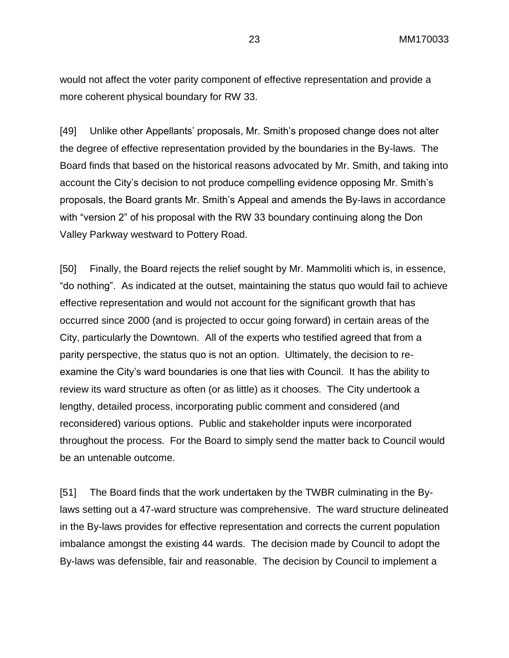would not affect the voter parity component of effective representation and provide a more coherent physical boundary for RW 33.

[49] Unlike other Appellants' proposals, Mr. Smith's proposed change does not alter the degree of effective representation provided by the boundaries in the By-laws. The Board finds that based on the historical reasons advocated by Mr. Smith, and taking into account the City's decision to not produce compelling evidence opposing Mr. Smith's proposals, the Board grants Mr. Smith's Appeal and amends the By-laws in accordance with "version 2" of his proposal with the RW 33 boundary continuing along the Don Valley Parkway westward to Pottery Road.

[50] Finally, the Board rejects the relief sought by Mr. Mammoliti which is, in essence, "do nothing". As indicated at the outset, maintaining the status quo would fail to achieve effective representation and would not account for the significant growth that has occurred since 2000 (and is projected to occur going forward) in certain areas of the City, particularly the Downtown. All of the experts who testified agreed that from a parity perspective, the status quo is not an option. Ultimately, the decision to reexamine the City's ward boundaries is one that lies with Council. It has the ability to review its ward structure as often (or as little) as it chooses. The City undertook a lengthy, detailed process, incorporating public comment and considered (and reconsidered) various options. Public and stakeholder inputs were incorporated throughout the process. For the Board to simply send the matter back to Council would be an untenable outcome.

[51] The Board finds that the work undertaken by the TWBR culminating in the Bylaws setting out a 47-ward structure was comprehensive. The ward structure delineated in the By-laws provides for effective representation and corrects the current population imbalance amongst the existing 44 wards. The decision made by Council to adopt the By-laws was defensible, fair and reasonable. The decision by Council to implement a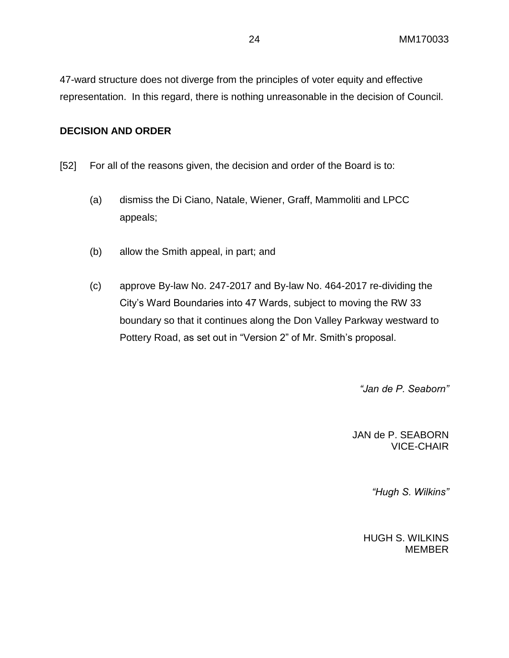47-ward structure does not diverge from the principles of voter equity and effective representation. In this regard, there is nothing unreasonable in the decision of Council.

#### **DECISION AND ORDER**

- [52] For all of the reasons given, the decision and order of the Board is to:
	- (a) dismiss the Di Ciano, Natale, Wiener, Graff, Mammoliti and LPCC appeals;
	- (b) allow the Smith appeal, in part; and
	- (c) approve By-law No. 247-2017 and By-law No. 464-2017 re-dividing the City's Ward Boundaries into 47 Wards, subject to moving the RW 33 boundary so that it continues along the Don Valley Parkway westward to Pottery Road, as set out in "Version 2" of Mr. Smith's proposal.

*"Jan de P. Seaborn"*

JAN de P. SEABORN VICE-CHAIR

*"Hugh S. Wilkins"*

HUGH S. WILKINS MEMBER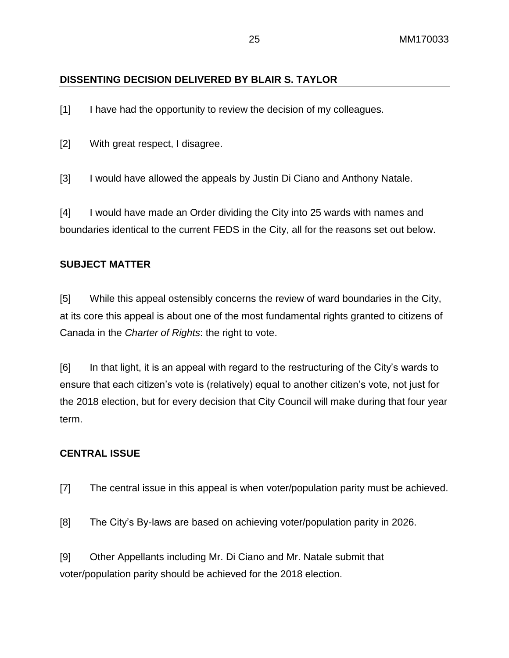# **DISSENTING DECISION DELIVERED BY BLAIR S. TAYLOR**

[1] I have had the opportunity to review the decision of my colleagues.

[2] With great respect, I disagree.

[3] I would have allowed the appeals by Justin Di Ciano and Anthony Natale.

[4] I would have made an Order dividing the City into 25 wards with names and boundaries identical to the current FEDS in the City, all for the reasons set out below.

# **SUBJECT MATTER**

[5] While this appeal ostensibly concerns the review of ward boundaries in the City, at its core this appeal is about one of the most fundamental rights granted to citizens of Canada in the *Charter of Rights*: the right to vote.

[6] In that light, it is an appeal with regard to the restructuring of the City's wards to ensure that each citizen's vote is (relatively) equal to another citizen's vote, not just for the 2018 election, but for every decision that City Council will make during that four year term.

# **CENTRAL ISSUE**

- [7] The central issue in this appeal is when voter/population parity must be achieved.
- [8] The City's By-laws are based on achieving voter/population parity in 2026.

[9] Other Appellants including Mr. Di Ciano and Mr. Natale submit that voter/population parity should be achieved for the 2018 election.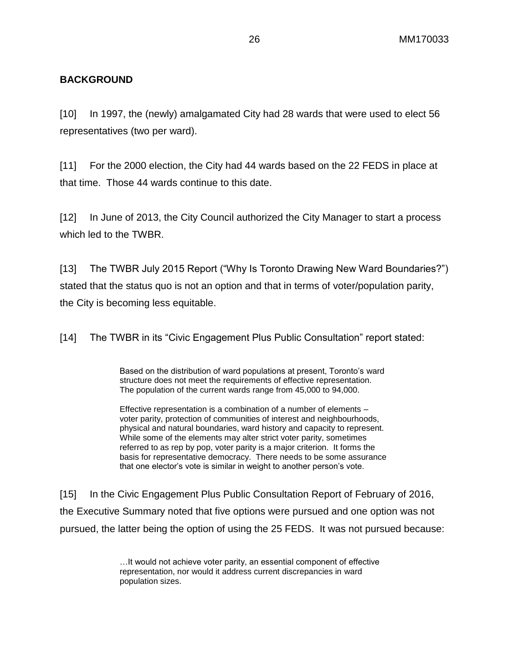# **BACKGROUND**

[10] In 1997, the (newly) amalgamated City had 28 wards that were used to elect 56 representatives (two per ward).

[11] For the 2000 election, the City had 44 wards based on the 22 FEDS in place at that time. Those 44 wards continue to this date.

[12] In June of 2013, the City Council authorized the City Manager to start a process which led to the TWBR.

[13] The TWBR July 2015 Report ("Why Is Toronto Drawing New Ward Boundaries?") stated that the status quo is not an option and that in terms of voter/population parity, the City is becoming less equitable.

[14] The TWBR in its "Civic Engagement Plus Public Consultation" report stated:

Based on the distribution of ward populations at present, Toronto's ward structure does not meet the requirements of effective representation. The population of the current wards range from 45,000 to 94,000.

Effective representation is a combination of a number of elements – voter parity, protection of communities of interest and neighbourhoods, physical and natural boundaries, ward history and capacity to represent. While some of the elements may alter strict voter parity, sometimes referred to as rep by pop, voter parity is a major criterion. It forms the basis for representative democracy. There needs to be some assurance that one elector's vote is similar in weight to another person's vote.

[15] In the Civic Engagement Plus Public Consultation Report of February of 2016, the Executive Summary noted that five options were pursued and one option was not pursued, the latter being the option of using the 25 FEDS. It was not pursued because:

> …It would not achieve voter parity, an essential component of effective representation, nor would it address current discrepancies in ward population sizes.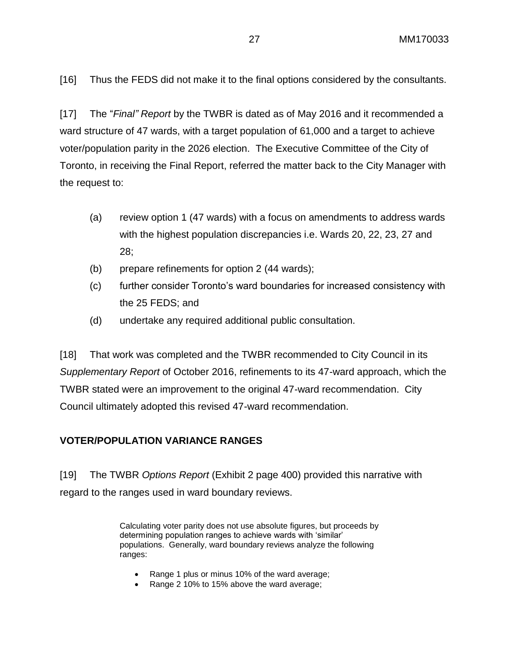[16] Thus the FEDS did not make it to the final options considered by the consultants.

[17] The "*Final" Report* by the TWBR is dated as of May 2016 and it recommended a ward structure of 47 wards, with a target population of 61,000 and a target to achieve voter/population parity in the 2026 election. The Executive Committee of the City of Toronto, in receiving the Final Report, referred the matter back to the City Manager with the request to:

- (a) review option 1 (47 wards) with a focus on amendments to address wards with the highest population discrepancies i.e. Wards 20, 22, 23, 27 and 28;
- (b) prepare refinements for option 2 (44 wards);
- (c) further consider Toronto's ward boundaries for increased consistency with the 25 FEDS; and
- (d) undertake any required additional public consultation.

[18] That work was completed and the TWBR recommended to City Council in its *Supplementary Report* of October 2016, refinements to its 47-ward approach, which the TWBR stated were an improvement to the original 47-ward recommendation. City Council ultimately adopted this revised 47-ward recommendation.

# **VOTER/POPULATION VARIANCE RANGES**

[19] The TWBR *Options Report* (Exhibit 2 page 400) provided this narrative with regard to the ranges used in ward boundary reviews.

> Calculating voter parity does not use absolute figures, but proceeds by determining population ranges to achieve wards with 'similar' populations. Generally, ward boundary reviews analyze the following ranges:

- Range 1 plus or minus 10% of the ward average;
- Range 2 10% to 15% above the ward average;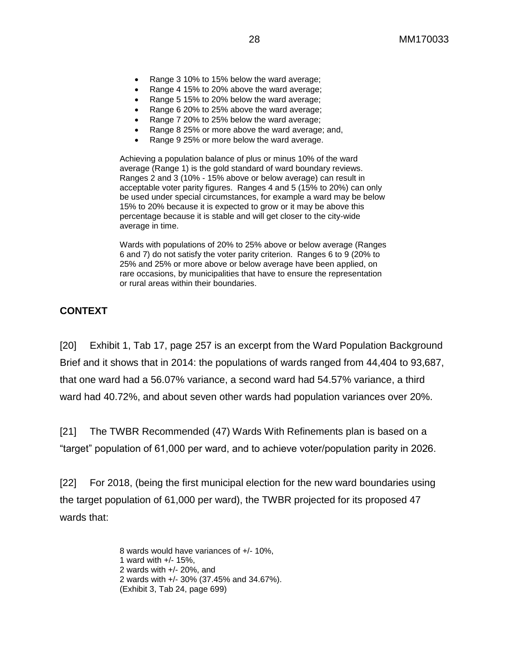- Range 3 10% to 15% below the ward average;
- Range 4 15% to 20% above the ward average;
- Range 5 15% to 20% below the ward average;
- Range 6 20% to 25% above the ward average;
- Range 7 20% to 25% below the ward average;
- Range 8 25% or more above the ward average; and,
- Range 9 25% or more below the ward average.

Achieving a population balance of plus or minus 10% of the ward average (Range 1) is the gold standard of ward boundary reviews. Ranges 2 and 3 (10% - 15% above or below average) can result in acceptable voter parity figures. Ranges 4 and 5 (15% to 20%) can only be used under special circumstances, for example a ward may be below 15% to 20% because it is expected to grow or it may be above this percentage because it is stable and will get closer to the city-wide average in time.

Wards with populations of 20% to 25% above or below average (Ranges 6 and 7) do not satisfy the voter parity criterion. Ranges 6 to 9 (20% to 25% and 25% or more above or below average have been applied, on rare occasions, by municipalities that have to ensure the representation or rural areas within their boundaries.

# **CONTEXT**

[20] Exhibit 1, Tab 17, page 257 is an excerpt from the Ward Population Background Brief and it shows that in 2014: the populations of wards ranged from 44,404 to 93,687, that one ward had a 56.07% variance, a second ward had 54.57% variance, a third ward had 40.72%, and about seven other wards had population variances over 20%.

[21] The TWBR Recommended (47) Wards With Refinements plan is based on a "target" population of 61,000 per ward, and to achieve voter/population parity in 2026.

[22] For 2018, (being the first municipal election for the new ward boundaries using the target population of 61,000 per ward), the TWBR projected for its proposed 47 wards that:

> 8 wards would have variances of +/- 10%, 1 ward with +/- 15%, 2 wards with +/- 20%, and 2 wards with +/- 30% (37.45% and 34.67%). (Exhibit 3, Tab 24, page 699)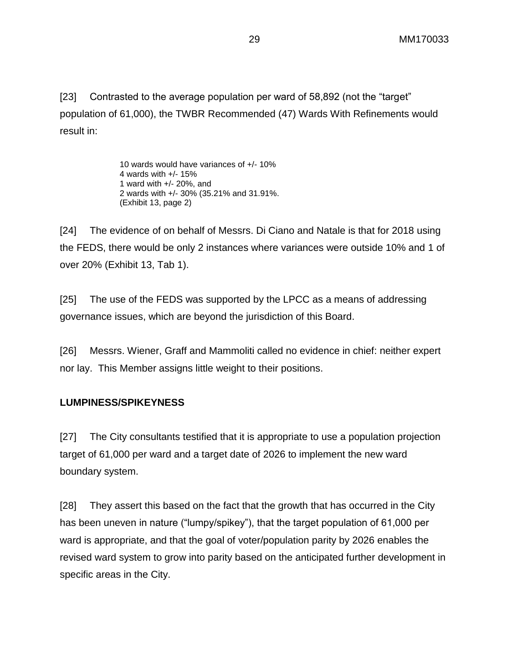[23] Contrasted to the average population per ward of 58,892 (not the "target" population of 61,000), the TWBR Recommended (47) Wards With Refinements would result in:

> 10 wards would have variances of +/- 10% 4 wards with +/- 15% 1 ward with +/- 20%, and 2 wards with +/- 30% (35.21% and 31.91%. (Exhibit 13, page 2)

[24] The evidence of on behalf of Messrs. Di Ciano and Natale is that for 2018 using the FEDS, there would be only 2 instances where variances were outside 10% and 1 of over 20% (Exhibit 13, Tab 1).

[25] The use of the FEDS was supported by the LPCC as a means of addressing governance issues, which are beyond the jurisdiction of this Board.

[26] Messrs. Wiener, Graff and Mammoliti called no evidence in chief: neither expert nor lay. This Member assigns little weight to their positions.

# **LUMPINESS/SPIKEYNESS**

[27] The City consultants testified that it is appropriate to use a population projection target of 61,000 per ward and a target date of 2026 to implement the new ward boundary system.

[28] They assert this based on the fact that the growth that has occurred in the City has been uneven in nature ("lumpy/spikey"), that the target population of 61,000 per ward is appropriate, and that the goal of voter/population parity by 2026 enables the revised ward system to grow into parity based on the anticipated further development in specific areas in the City.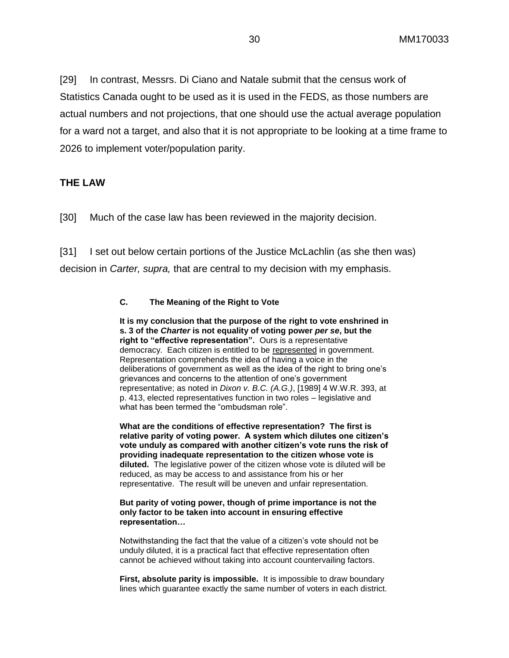[29] In contrast, Messrs. Di Ciano and Natale submit that the census work of Statistics Canada ought to be used as it is used in the FEDS, as those numbers are actual numbers and not projections, that one should use the actual average population for a ward not a target, and also that it is not appropriate to be looking at a time frame to 2026 to implement voter/population parity.

### **THE LAW**

[30] Much of the case law has been reviewed in the majority decision.

[31] I set out below certain portions of the Justice McLachlin (as she then was) decision in *Carter, supra,* that are central to my decision with my emphasis.

#### **C. The Meaning of the Right to Vote**

**It is my conclusion that the purpose of the right to vote enshrined in s. 3 of the** *Charter* **is not equality of voting power** *per se***, but the right to "effective representation".** Ours is a representative democracy. Each citizen is entitled to be represented in government. Representation comprehends the idea of having a voice in the deliberations of government as well as the idea of the right to bring one's grievances and concerns to the attention of one's government representative; as noted in *Dixon v. B.C. (A.G.)*, [1989] 4 W.W.R. 393, at p. 413, elected representatives function in two roles – legislative and what has been termed the "ombudsman role".

**What are the conditions of effective representation? The first is relative parity of voting power. A system which dilutes one citizen's vote unduly as compared with another citizen's vote runs the risk of providing inadequate representation to the citizen whose vote is diluted.** The legislative power of the citizen whose vote is diluted will be reduced, as may be access to and assistance from his or her representative. The result will be uneven and unfair representation.

#### **But parity of voting power, though of prime importance is not the only factor to be taken into account in ensuring effective representation…**

Notwithstanding the fact that the value of a citizen's vote should not be unduly diluted, it is a practical fact that effective representation often cannot be achieved without taking into account countervailing factors.

**First, absolute parity is impossible.** It is impossible to draw boundary lines which guarantee exactly the same number of voters in each district.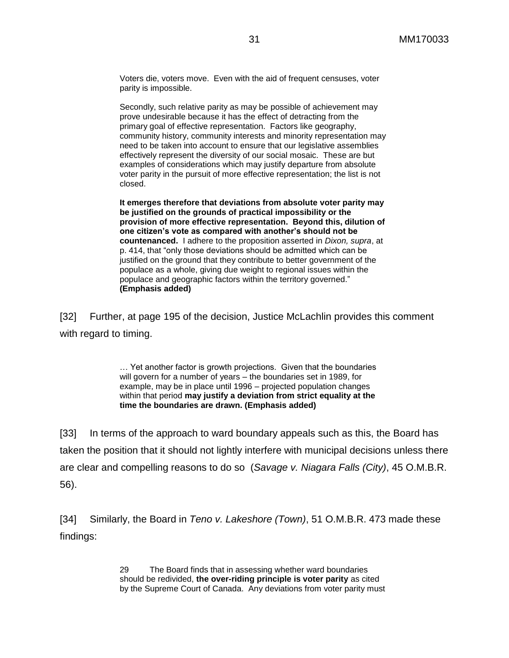Voters die, voters move. Even with the aid of frequent censuses, voter parity is impossible.

Secondly, such relative parity as may be possible of achievement may prove undesirable because it has the effect of detracting from the primary goal of effective representation. Factors like geography, community history, community interests and minority representation may need to be taken into account to ensure that our legislative assemblies effectively represent the diversity of our social mosaic. These are but examples of considerations which may justify departure from absolute voter parity in the pursuit of more effective representation; the list is not closed.

**It emerges therefore that deviations from absolute voter parity may be justified on the grounds of practical impossibility or the provision of more effective representation. Beyond this, dilution of one citizen's vote as compared with another's should not be countenanced.** I adhere to the proposition asserted in *Dixon, supra*, at p. 414, that "only those deviations should be admitted which can be justified on the ground that they contribute to better government of the populace as a whole, giving due weight to regional issues within the populace and geographic factors within the territory governed." **(Emphasis added)**

[32] Further, at page 195 of the decision, Justice McLachlin provides this comment with regard to timing.

> … Yet another factor is growth projections. Given that the boundaries will govern for a number of years – the boundaries set in 1989, for example, may be in place until 1996 – projected population changes within that period **may justify a deviation from strict equality at the time the boundaries are drawn. (Emphasis added)**

[33] In terms of the approach to ward boundary appeals such as this, the Board has taken the position that it should not lightly interfere with municipal decisions unless there are clear and compelling reasons to do so (*Savage v. Niagara Falls (City)*, 45 O.M.B.R. 56).

[34] Similarly, the Board in *Teno v. Lakeshore (Town)*, 51 O.M.B.R. 473 made these findings:

> 29 The Board finds that in assessing whether ward boundaries should be redivided, **the over-riding principle is voter parity** as cited by the Supreme Court of Canada. Any deviations from voter parity must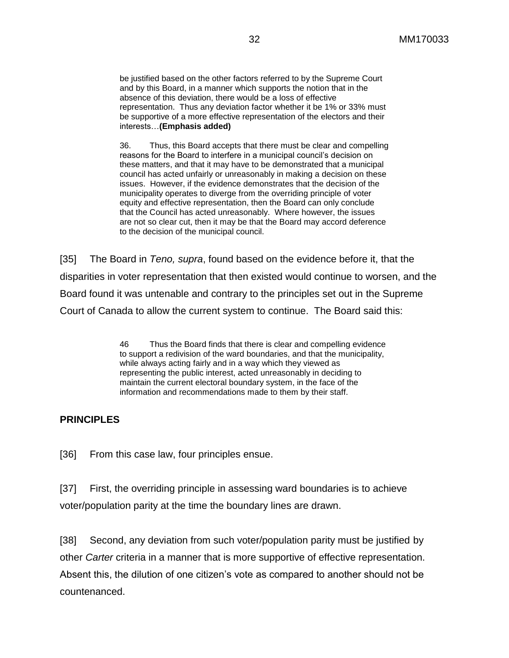be justified based on the other factors referred to by the Supreme Court and by this Board, in a manner which supports the notion that in the absence of this deviation, there would be a loss of effective representation. Thus any deviation factor whether it be 1% or 33% must be supportive of a more effective representation of the electors and their interests…**(Emphasis added)**

36. Thus, this Board accepts that there must be clear and compelling reasons for the Board to interfere in a municipal council's decision on these matters, and that it may have to be demonstrated that a municipal council has acted unfairly or unreasonably in making a decision on these issues. However, if the evidence demonstrates that the decision of the municipality operates to diverge from the overriding principle of voter equity and effective representation, then the Board can only conclude that the Council has acted unreasonably. Where however, the issues are not so clear cut, then it may be that the Board may accord deference to the decision of the municipal council.

[35] The Board in *Teno, supra*, found based on the evidence before it, that the disparities in voter representation that then existed would continue to worsen, and the Board found it was untenable and contrary to the principles set out in the Supreme Court of Canada to allow the current system to continue. The Board said this:

> 46 Thus the Board finds that there is clear and compelling evidence to support a redivision of the ward boundaries, and that the municipality, while always acting fairly and in a way which they viewed as representing the public interest, acted unreasonably in deciding to maintain the current electoral boundary system, in the face of the information and recommendations made to them by their staff.

# **PRINCIPLES**

[36] From this case law, four principles ensue.

[37] First, the overriding principle in assessing ward boundaries is to achieve voter/population parity at the time the boundary lines are drawn.

[38] Second, any deviation from such voter/population parity must be justified by other *Carter* criteria in a manner that is more supportive of effective representation. Absent this, the dilution of one citizen's vote as compared to another should not be countenanced.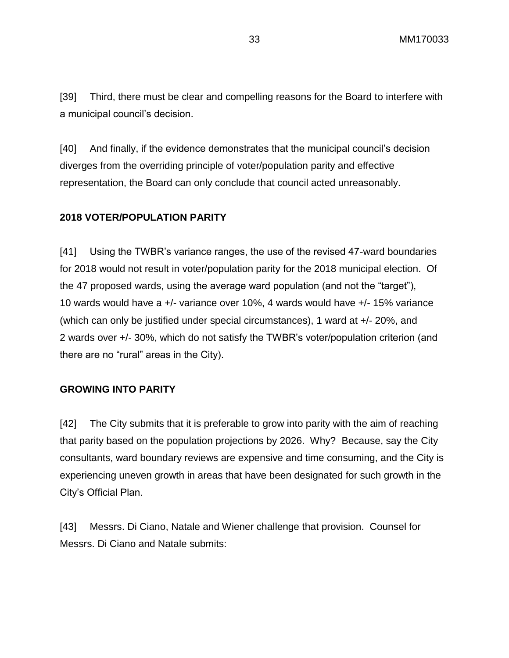[39] Third, there must be clear and compelling reasons for the Board to interfere with a municipal council's decision.

[40] And finally, if the evidence demonstrates that the municipal council's decision diverges from the overriding principle of voter/population parity and effective representation, the Board can only conclude that council acted unreasonably.

#### **2018 VOTER/POPULATION PARITY**

[41] Using the TWBR's variance ranges, the use of the revised 47-ward boundaries for 2018 would not result in voter/population parity for the 2018 municipal election. Of the 47 proposed wards, using the average ward population (and not the "target"), 10 wards would have a +/- variance over 10%, 4 wards would have +/- 15% variance (which can only be justified under special circumstances), 1 ward at +/- 20%, and 2 wards over +/- 30%, which do not satisfy the TWBR's voter/population criterion (and there are no "rural" areas in the City).

#### **GROWING INTO PARITY**

[42] The City submits that it is preferable to grow into parity with the aim of reaching that parity based on the population projections by 2026. Why? Because, say the City consultants, ward boundary reviews are expensive and time consuming, and the City is experiencing uneven growth in areas that have been designated for such growth in the City's Official Plan.

[43] Messrs. Di Ciano, Natale and Wiener challenge that provision. Counsel for Messrs. Di Ciano and Natale submits: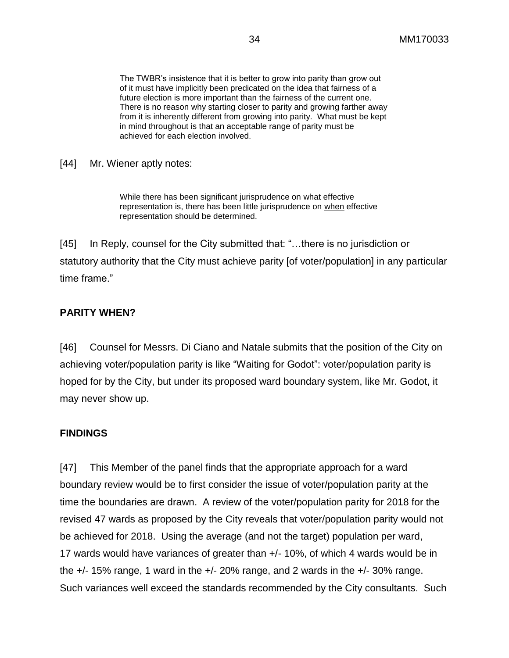The TWBR's insistence that it is better to grow into parity than grow out of it must have implicitly been predicated on the idea that fairness of a future election is more important than the fairness of the current one. There is no reason why starting closer to parity and growing farther away from it is inherently different from growing into parity. What must be kept in mind throughout is that an acceptable range of parity must be achieved for each election involved.

[44] Mr. Wiener aptly notes:

While there has been significant jurisprudence on what effective representation is, there has been little jurisprudence on when effective representation should be determined.

[45] In Reply, counsel for the City submitted that: "... there is no jurisdiction or statutory authority that the City must achieve parity [of voter/population] in any particular time frame."

#### **PARITY WHEN?**

[46] Counsel for Messrs. Di Ciano and Natale submits that the position of the City on achieving voter/population parity is like "Waiting for Godot": voter/population parity is hoped for by the City, but under its proposed ward boundary system, like Mr. Godot, it may never show up.

#### **FINDINGS**

[47] This Member of the panel finds that the appropriate approach for a ward boundary review would be to first consider the issue of voter/population parity at the time the boundaries are drawn. A review of the voter/population parity for 2018 for the revised 47 wards as proposed by the City reveals that voter/population parity would not be achieved for 2018. Using the average (and not the target) population per ward, 17 wards would have variances of greater than +/- 10%, of which 4 wards would be in the  $+/-$  15% range, 1 ward in the  $+/-$  20% range, and 2 wards in the  $+/-$  30% range. Such variances well exceed the standards recommended by the City consultants. Such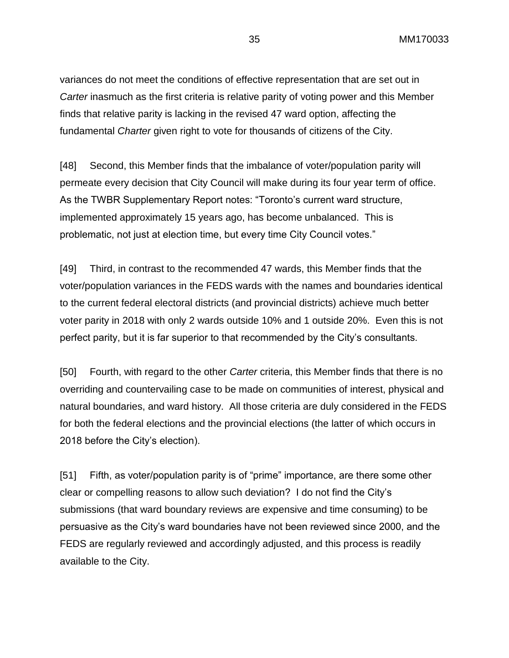variances do not meet the conditions of effective representation that are set out in *Carter* inasmuch as the first criteria is relative parity of voting power and this Member finds that relative parity is lacking in the revised 47 ward option, affecting the fundamental *Charter* given right to vote for thousands of citizens of the City.

[48] Second, this Member finds that the imbalance of voter/population parity will permeate every decision that City Council will make during its four year term of office. As the TWBR Supplementary Report notes: "Toronto's current ward structure, implemented approximately 15 years ago, has become unbalanced. This is problematic, not just at election time, but every time City Council votes."

[49] Third, in contrast to the recommended 47 wards, this Member finds that the voter/population variances in the FEDS wards with the names and boundaries identical to the current federal electoral districts (and provincial districts) achieve much better voter parity in 2018 with only 2 wards outside 10% and 1 outside 20%. Even this is not perfect parity, but it is far superior to that recommended by the City's consultants.

[50] Fourth, with regard to the other *Carter* criteria, this Member finds that there is no overriding and countervailing case to be made on communities of interest, physical and natural boundaries, and ward history. All those criteria are duly considered in the FEDS for both the federal elections and the provincial elections (the latter of which occurs in 2018 before the City's election).

[51] Fifth, as voter/population parity is of "prime" importance, are there some other clear or compelling reasons to allow such deviation? I do not find the City's submissions (that ward boundary reviews are expensive and time consuming) to be persuasive as the City's ward boundaries have not been reviewed since 2000, and the FEDS are regularly reviewed and accordingly adjusted, and this process is readily available to the City.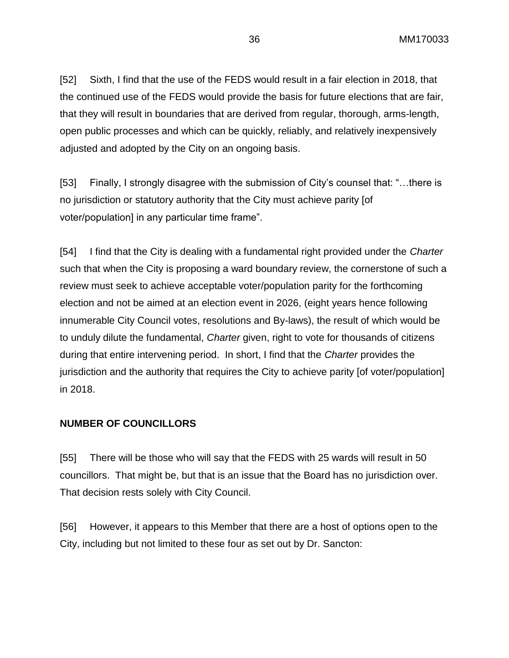[52] Sixth, I find that the use of the FEDS would result in a fair election in 2018, that the continued use of the FEDS would provide the basis for future elections that are fair, that they will result in boundaries that are derived from regular, thorough, arms-length, open public processes and which can be quickly, reliably, and relatively inexpensively adjusted and adopted by the City on an ongoing basis.

[53] Finally, I strongly disagree with the submission of City's counsel that: "…there is no jurisdiction or statutory authority that the City must achieve parity [of voter/population] in any particular time frame".

[54] I find that the City is dealing with a fundamental right provided under the *Charter*  such that when the City is proposing a ward boundary review, the cornerstone of such a review must seek to achieve acceptable voter/population parity for the forthcoming election and not be aimed at an election event in 2026, (eight years hence following innumerable City Council votes, resolutions and By-laws), the result of which would be to unduly dilute the fundamental, *Charter* given, right to vote for thousands of citizens during that entire intervening period. In short, I find that the *Charter* provides the jurisdiction and the authority that requires the City to achieve parity [of voter/population] in 2018.

#### **NUMBER OF COUNCILLORS**

[55] There will be those who will say that the FEDS with 25 wards will result in 50 councillors. That might be, but that is an issue that the Board has no jurisdiction over. That decision rests solely with City Council.

[56] However, it appears to this Member that there are a host of options open to the City, including but not limited to these four as set out by Dr. Sancton: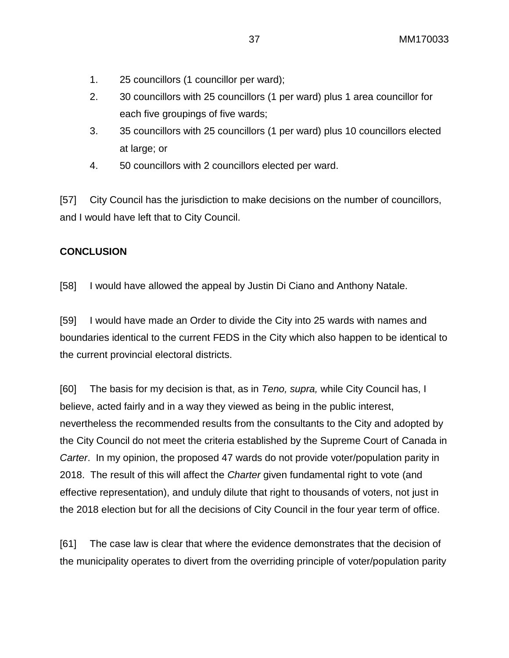- 1. 25 councillors (1 councillor per ward);
- 2. 30 councillors with 25 councillors (1 per ward) plus 1 area councillor for each five groupings of five wards;
- 3. 35 councillors with 25 councillors (1 per ward) plus 10 councillors elected at large; or
- 4. 50 councillors with 2 councillors elected per ward.

[57] City Council has the jurisdiction to make decisions on the number of councillors, and I would have left that to City Council.

# **CONCLUSION**

[58] I would have allowed the appeal by Justin Di Ciano and Anthony Natale.

[59] I would have made an Order to divide the City into 25 wards with names and boundaries identical to the current FEDS in the City which also happen to be identical to the current provincial electoral districts.

[60] The basis for my decision is that, as in *Teno, supra,* while City Council has, I believe, acted fairly and in a way they viewed as being in the public interest, nevertheless the recommended results from the consultants to the City and adopted by the City Council do not meet the criteria established by the Supreme Court of Canada in *Carter*. In my opinion, the proposed 47 wards do not provide voter/population parity in 2018. The result of this will affect the *Charter* given fundamental right to vote (and effective representation), and unduly dilute that right to thousands of voters, not just in the 2018 election but for all the decisions of City Council in the four year term of office.

[61] The case law is clear that where the evidence demonstrates that the decision of the municipality operates to divert from the overriding principle of voter/population parity